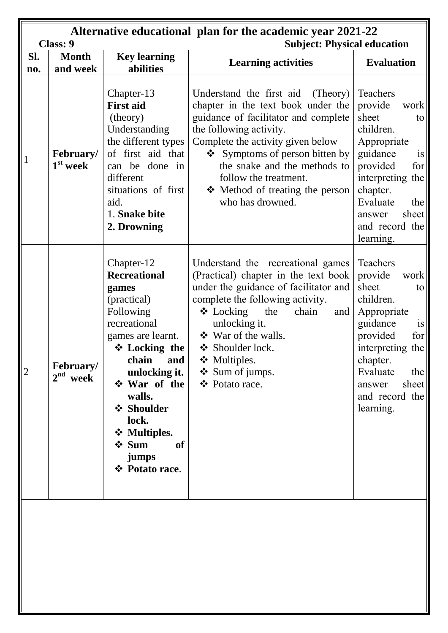|                | <b>Class: 9</b>                      |                                                                                                                                                                                                                                                                               | Alternative educational plan for the academic year 2021-22                                                                                                                                                                                                                                                                                   |                                                                                                                                                                                                                               |
|----------------|--------------------------------------|-------------------------------------------------------------------------------------------------------------------------------------------------------------------------------------------------------------------------------------------------------------------------------|----------------------------------------------------------------------------------------------------------------------------------------------------------------------------------------------------------------------------------------------------------------------------------------------------------------------------------------------|-------------------------------------------------------------------------------------------------------------------------------------------------------------------------------------------------------------------------------|
|                |                                      |                                                                                                                                                                                                                                                                               | <b>Subject: Physical education</b>                                                                                                                                                                                                                                                                                                           |                                                                                                                                                                                                                               |
| Sl.            | <b>Month</b>                         | <b>Key learning</b>                                                                                                                                                                                                                                                           | <b>Learning activities</b>                                                                                                                                                                                                                                                                                                                   | <b>Evaluation</b>                                                                                                                                                                                                             |
| no.            | and week                             | abilities                                                                                                                                                                                                                                                                     |                                                                                                                                                                                                                                                                                                                                              |                                                                                                                                                                                                                               |
| $\mathbf{1}$   | February/<br>$1st$ week              | Chapter-13<br><b>First aid</b><br>(theory)<br>Understanding<br>the different types<br>of first aid that<br>can be done in<br>different<br>situations of first<br>aid.<br>1. Snake bite<br>2. Drowning                                                                         | Understand the first aid<br>(Theory)<br>chapter in the text book under the<br>guidance of facilitator and complete<br>the following activity.<br>Complete the activity given below<br>$\bullet$ Symptoms of person bitten by<br>the snake and the methods to<br>follow the treatment.<br>❖ Method of treating the person<br>who has drowned. | Teachers<br>provide<br>work<br>sheet<br>to<br>children.<br>Appropriate<br>guidance<br>is<br>provided<br>for<br>interpreting the<br>chapter.<br>Evaluate<br>the<br>sheet<br>answer<br>and record the<br>learning.              |
| $\overline{2}$ | February/<br>2 <sup>nd</sup><br>week | Chapter-12<br><b>Recreational</b><br>games<br>(practical)<br>Following<br>recreational<br>games are learnt.<br>❖ Locking the<br>and<br>chain<br>unlocking it.<br>❖ War of the<br>walls.<br>❖ Shoulder<br>lock.<br>❖ Multiples.<br>$\div$ Sum<br>of<br>jumps<br>❖ Potato race. | Understand the recreational games<br>(Practical) chapter in the text book<br>under the guidance of facilitator and<br>complete the following activity.<br>$\triangleleft$ Locking<br>the<br>chain<br>and<br>unlocking it.<br>❖ War of the walls.<br>❖ Shoulder lock.<br>❖ Multiples.<br>❖ Sum of jumps.<br>❖ Potato race.                    | Teachers<br>provide<br>work<br>sheet<br>to<br>children.<br>Appropriate<br>guidance<br>$\overline{1}S$<br>provided<br>for<br>interpreting the<br>chapter.<br>Evaluate<br>the<br>sheet<br>answer<br>and record the<br>learning. |
|                |                                      |                                                                                                                                                                                                                                                                               |                                                                                                                                                                                                                                                                                                                                              |                                                                                                                                                                                                                               |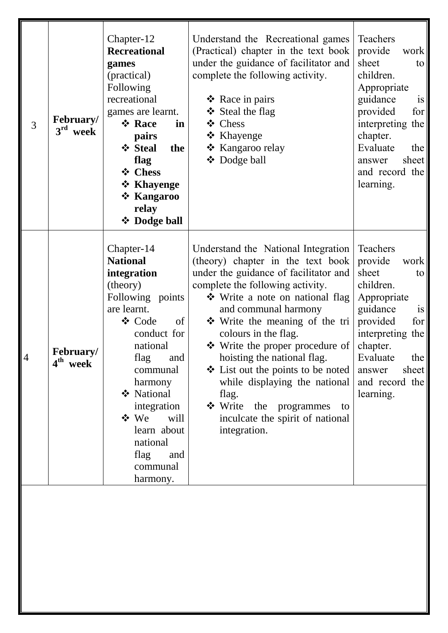| 3              | February/<br>$3^{\rm rd}$<br>week | Chapter-12<br><b>Recreational</b><br>games<br>(practical)<br>Following<br>recreational<br>games are learnt.<br>❖ Race<br>in<br>pairs<br>❖ Steal<br>the<br>flag<br>❖ Chess<br>❖ Khayenge<br>❖ Kangaroo<br>relay<br>❖ Dodge ball                                                                | Understand the Recreational games<br>(Practical) chapter in the text book<br>under the guidance of facilitator and<br>complete the following activity.<br>$\triangle$ Race in pairs<br>❖ Steal the flag<br>❖ Chess<br>❖ Khayenge<br>❖ Kangaroo relay<br>❖ Dodge ball                                                                                                                                                                                                                                                    | Teachers<br>provide<br>work<br>sheet<br>to<br>children.<br>Appropriate<br>guidance<br>is<br>provided<br>for<br>interpreting the<br>chapter.<br>Evaluate<br>the<br>sheet  <br>answer<br>and record the<br>learning. |
|----------------|-----------------------------------|-----------------------------------------------------------------------------------------------------------------------------------------------------------------------------------------------------------------------------------------------------------------------------------------------|-------------------------------------------------------------------------------------------------------------------------------------------------------------------------------------------------------------------------------------------------------------------------------------------------------------------------------------------------------------------------------------------------------------------------------------------------------------------------------------------------------------------------|--------------------------------------------------------------------------------------------------------------------------------------------------------------------------------------------------------------------|
| $\overline{4}$ | February/<br>4 <sup>th</sup> week | Chapter-14<br><b>National</b><br>integration<br>(theory)<br>Following points<br>are learnt.<br>❖ Code<br>of<br>conduct for<br>national<br>flag and<br>communal<br>harmony<br>❖ National<br>integration<br>$\div$ We<br>will<br>learn about<br>national<br>flag<br>and<br>communal<br>harmony. | Understand the National Integration<br>(theory) chapter in the text book<br>under the guidance of facilitator and<br>complete the following activity.<br>❖ Write a note on national flag<br>and communal harmony<br>$\div$ Write the meaning of the tri<br>colours in the flag.<br>❖ Write the proper procedure of<br>hoisting the national flag.<br>$\div$ List out the points to be noted<br>while displaying the national<br>flag.<br>Write the programmes<br>to<br>inculcate the spirit of national<br>integration. | Teachers<br>provide<br>work<br>sheet<br>to<br>children.<br>Appropriate<br>guidance<br>is<br>provided<br>for<br>interpreting the<br>chapter.<br>Evaluate<br>the<br>sheet<br>answer<br>and record the<br>learning.   |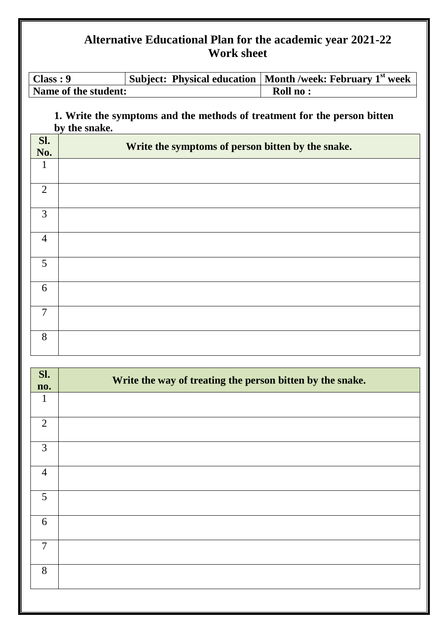| Class: 9             | Subject: Physical education   Month /week: February $1st$ week |
|----------------------|----------------------------------------------------------------|
| Name of the student: | Roll no:                                                       |

**1. Write the symptoms and the methods of treatment for the person bitten by the snake.**

| Sl.<br>No.     | Write the symptoms of person bitten by the snake. |
|----------------|---------------------------------------------------|
| 1              |                                                   |
| 2              |                                                   |
| 3              |                                                   |
| $\overline{4}$ |                                                   |
| 5              |                                                   |
| 6              |                                                   |
| $\overline{7}$ |                                                   |
| 8              |                                                   |

| Sl.<br>no.     | Write the way of treating the person bitten by the snake. |
|----------------|-----------------------------------------------------------|
| $\mathbf{1}$   |                                                           |
| 2              |                                                           |
| $\overline{3}$ |                                                           |
| $\overline{4}$ |                                                           |
| 5              |                                                           |
| 6              |                                                           |
| $\overline{7}$ |                                                           |
| 8              |                                                           |
|                |                                                           |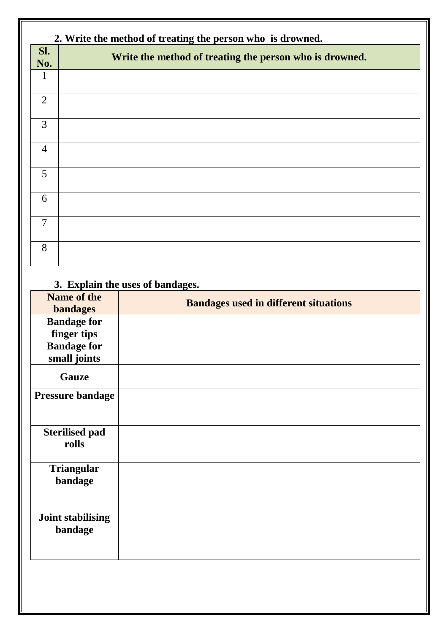|                | 2. Write the method of treating the person who is drowned. |  |  |
|----------------|------------------------------------------------------------|--|--|
| Sl.<br>No.     | Write the method of treating the person who is drowned.    |  |  |
|                |                                                            |  |  |
| $\overline{2}$ |                                                            |  |  |
| 3              |                                                            |  |  |
| $\overline{4}$ |                                                            |  |  |
| 5              |                                                            |  |  |
| 6              |                                                            |  |  |
| $\overline{7}$ |                                                            |  |  |
| 8              |                                                            |  |  |

# **3. Explain the uses of bandages.**

| <b>Name of the</b>       | <b>Bandages used in different situations</b> |
|--------------------------|----------------------------------------------|
| <b>bandages</b>          |                                              |
| <b>Bandage for</b>       |                                              |
| finger tips              |                                              |
| <b>Bandage for</b>       |                                              |
| small joints             |                                              |
| <b>Gauze</b>             |                                              |
| <b>Pressure bandage</b>  |                                              |
|                          |                                              |
|                          |                                              |
| <b>Sterilised pad</b>    |                                              |
| rolls                    |                                              |
|                          |                                              |
| <b>Triangular</b>        |                                              |
| bandage                  |                                              |
|                          |                                              |
|                          |                                              |
| <b>Joint stabilising</b> |                                              |
| bandage                  |                                              |
|                          |                                              |
|                          |                                              |
|                          |                                              |
|                          |                                              |
|                          |                                              |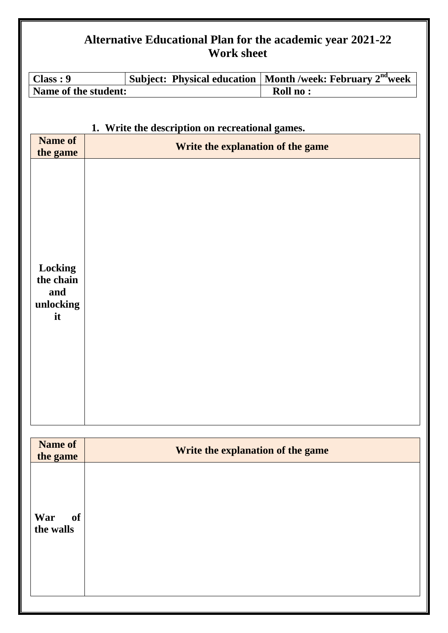| Class: 9                                                                            |  | Subject: Physical education                                                          | Month /week: February 2 <sup>nd</sup> week |
|-------------------------------------------------------------------------------------|--|--------------------------------------------------------------------------------------|--------------------------------------------|
| Name of the student:                                                                |  |                                                                                      | Roll no:                                   |
| <b>Name of</b><br>the game<br><b>Locking</b><br>the chain<br>and<br>unlocking<br>it |  | 1. Write the description on recreational games.<br>Write the explanation of the game |                                            |
| <b>Name of</b>                                                                      |  | Write the explanation of the game                                                    |                                            |
| the game                                                                            |  |                                                                                      |                                            |
| War<br><b>of</b><br>the walls                                                       |  |                                                                                      |                                            |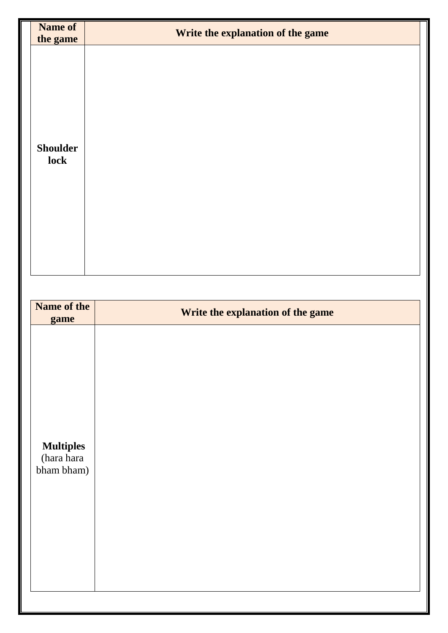| <b>Name of</b><br>the game                   | Write the explanation of the game |
|----------------------------------------------|-----------------------------------|
| <b>Shoulder</b><br>lock                      |                                   |
|                                              |                                   |
| Name of the<br>game                          | Write the explanation of the game |
| <b>Multiples</b><br>(hara hara<br>bham bham) |                                   |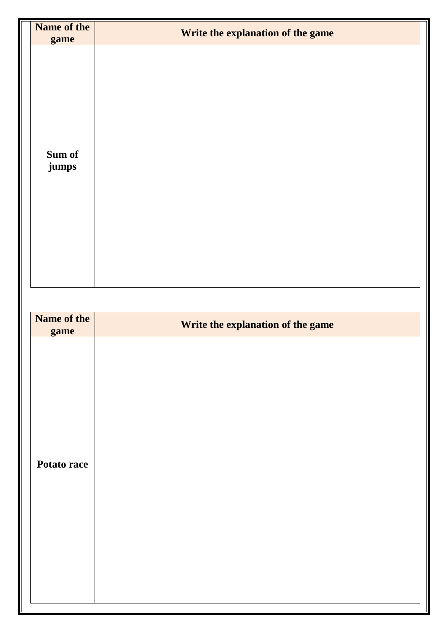| Name of the<br>game | Write the explanation of the game |
|---------------------|-----------------------------------|
| Sum of<br>jumps     |                                   |
|                     |                                   |
| Name of the<br>game | Write the explanation of the game |
| Potato race         |                                   |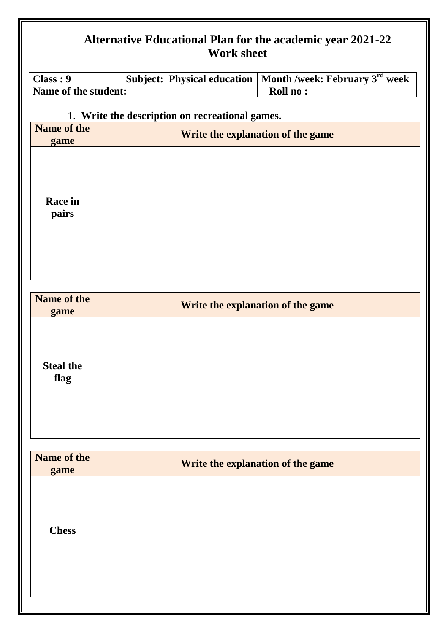| Class: 9                 | <b>Subject: Physical education</b>              | Month /week: February 3rd week    |
|--------------------------|-------------------------------------------------|-----------------------------------|
| Name of the student:     |                                                 | Roll no:                          |
|                          | 1. Write the description on recreational games. |                                   |
| Name of the              |                                                 |                                   |
| game                     |                                                 | Write the explanation of the game |
| Race in<br>pairs         |                                                 |                                   |
| Name of the              |                                                 | Write the explanation of the game |
| game                     |                                                 |                                   |
| <b>Steal the</b><br>flag |                                                 |                                   |
| Name of the              |                                                 |                                   |
| game                     |                                                 | Write the explanation of the game |
| <b>Chess</b>             |                                                 |                                   |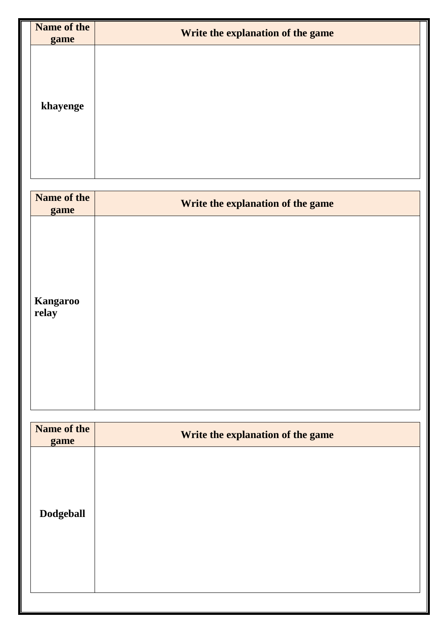| Name of the<br>game      | Write the explanation of the game |
|--------------------------|-----------------------------------|
| khayenge                 |                                   |
| Name of the<br>game      | Write the explanation of the game |
| <b>Kangaroo</b><br>relay |                                   |
| Name of the<br>game      | Write the explanation of the game |
| <b>Dodgeball</b>         |                                   |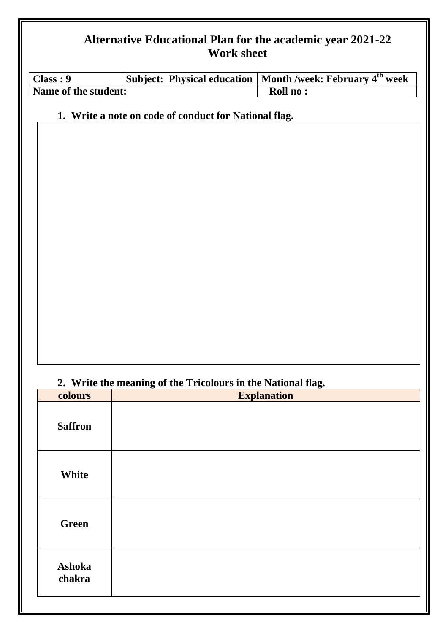| Class: 9             |  | Subject: Physical education   Month /week: February $4th$ week |
|----------------------|--|----------------------------------------------------------------|
| Name of the student: |  | Roll no:                                                       |

#### **1. Write a note on code of conduct for National flag.**

#### **2. Write the meaning of the Tricolours in the National flag.**

| colours          | <b>Explanation</b> |
|------------------|--------------------|
| <b>Saffron</b>   |                    |
| White            |                    |
| <b>Green</b>     |                    |
| Ashoka<br>chakra |                    |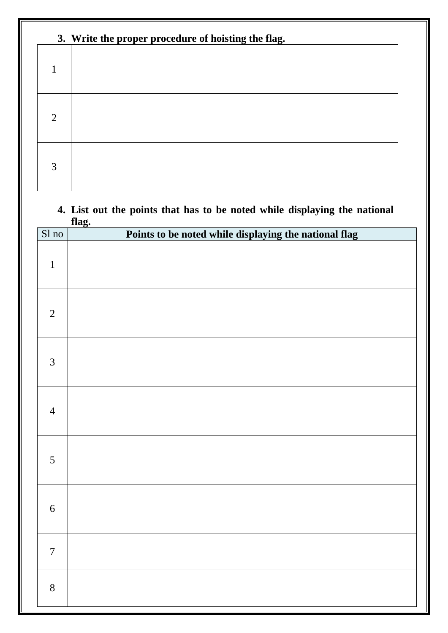| 3. Write the proper procedure of hoisting the flag. |  |  |
|-----------------------------------------------------|--|--|
|                                                     |  |  |
| $\overline{2}$                                      |  |  |
| 3                                                   |  |  |

#### **4. List out the points that has to be noted while displaying the national flag.**

| Sl no          | Points to be noted while displaying the national flag |
|----------------|-------------------------------------------------------|
| $\mathbf 1$    |                                                       |
| $\overline{2}$ |                                                       |
| $\mathfrak{Z}$ |                                                       |
| $\overline{4}$ |                                                       |
| 5              |                                                       |
| $6\,$          |                                                       |
| $\overline{7}$ |                                                       |
| $8\,$          |                                                       |